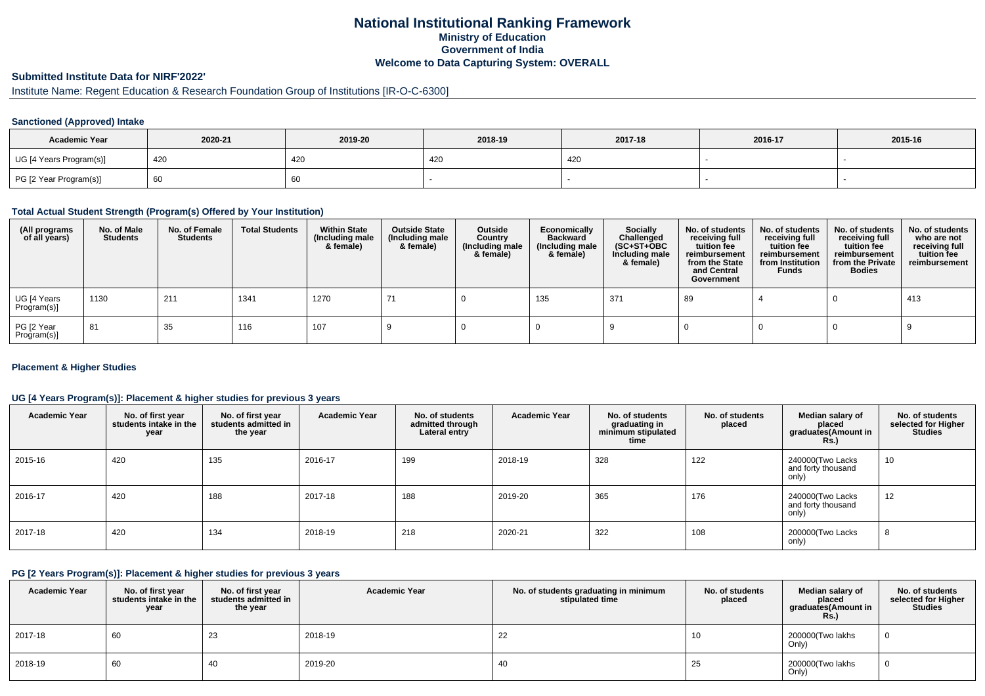# **National Institutional Ranking FrameworkMinistry of Education Government of IndiaWelcome to Data Capturing System: OVERALL**

# **Submitted Institute Data for NIRF'2022'**

# Institute Name: Regent Education & Research Foundation Group of Institutions [IR-O-C-6300]

### **Sanctioned (Approved) Intake**

| <b>Academic Year</b>    | 2020-21 | 2019-20 | 2018-19 | 2017-18 | 2016-17 | 2015-16 |
|-------------------------|---------|---------|---------|---------|---------|---------|
| UG [4 Years Program(s)] | 420     | 420     | 420     | 420     |         |         |
| PG [2 Year Program(s)]  | 66 '    | 60      |         |         |         |         |

#### **Total Actual Student Strength (Program(s) Offered by Your Institution)**

| (All programs<br>of all years) | No. of Male<br><b>Students</b> | No. of Female<br><b>Students</b> | <b>Total Students</b> | <b>Within State</b><br>(Including male<br>& female) | <b>Outside State</b><br>(Including male<br>& female) | Outside<br>Country<br>(Including male<br>& female) | Economically<br><b>Backward</b><br>(Including male<br>& female) | <b>Socially</b><br>Challenged<br>$(SC+ST+OBC)$<br>Including male<br>& female) | No. of students<br>receiving full<br>tuition fee<br>reimbursement<br>from the State<br>and Central<br>Government | No. of students<br>receiving full<br>tuition fee<br>reimbursement<br>from Institution<br><b>Funds</b> | No. of students<br>receiving full<br>tuition fee<br>reimbursement<br>from the Private<br><b>Bodies</b> | No. of students<br>who are not<br>receiving full<br>tuition fee<br>reimbursement |
|--------------------------------|--------------------------------|----------------------------------|-----------------------|-----------------------------------------------------|------------------------------------------------------|----------------------------------------------------|-----------------------------------------------------------------|-------------------------------------------------------------------------------|------------------------------------------------------------------------------------------------------------------|-------------------------------------------------------------------------------------------------------|--------------------------------------------------------------------------------------------------------|----------------------------------------------------------------------------------|
| UG [4 Years<br>Program(s)]     | 1130                           | 211                              | 1341                  | 1270                                                |                                                      |                                                    | 135                                                             | 371                                                                           | 89                                                                                                               |                                                                                                       |                                                                                                        | 413                                                                              |
| PG [2 Year<br>Program(s)]      | 81                             | 35                               | 116                   | 107                                                 |                                                      |                                                    |                                                                 |                                                                               |                                                                                                                  |                                                                                                       |                                                                                                        |                                                                                  |

### **Placement & Higher Studies**

### **UG [4 Years Program(s)]: Placement & higher studies for previous 3 years**

| <b>Academic Year</b> | No. of first year<br>students intake in the<br>year | No. of first year<br>students admitted in<br>the year | <b>Academic Year</b> | No. of students<br>admitted through<br>Lateral entry | <b>Academic Year</b> | No. of students<br>graduating in<br>minimum stipulated<br>time | No. of students<br>placed | Median salary of<br>placed<br>graduates(Amount in<br><b>Rs.</b> ) | No. of students<br>selected for Higher<br><b>Studies</b> |
|----------------------|-----------------------------------------------------|-------------------------------------------------------|----------------------|------------------------------------------------------|----------------------|----------------------------------------------------------------|---------------------------|-------------------------------------------------------------------|----------------------------------------------------------|
| 2015-16              | 420                                                 | 135                                                   | 2016-17              | 199                                                  | 2018-19              | 328                                                            | 122                       | 240000(Two Lacks<br>and forty thousand<br>only)                   | 10                                                       |
| 2016-17              | 420                                                 | 188                                                   | 2017-18              | 188                                                  | 2019-20              | 365                                                            | 176                       | 240000(Two Lacks<br>and forty thousand<br>only)                   | 12                                                       |
| 2017-18              | 420                                                 | 134                                                   | 2018-19              | 218                                                  | 2020-21              | 322                                                            | 108                       | 200000(Two Lacks<br>only)                                         | 8                                                        |

#### **PG [2 Years Program(s)]: Placement & higher studies for previous 3 years**

| <b>Academic Year</b> | No. of first year<br>students intake in the<br>year | No. of first year<br>students admitted in<br>the year | <b>Academic Year</b> | No. of students graduating in minimum<br>stipulated time | No. of students<br>placed | Median salary of<br>placed<br>graduates(Amount in<br><b>Rs.)</b> | No. of students<br>selected for Higher<br><b>Studies</b> |
|----------------------|-----------------------------------------------------|-------------------------------------------------------|----------------------|----------------------------------------------------------|---------------------------|------------------------------------------------------------------|----------------------------------------------------------|
| 2017-18              | 60                                                  | 23                                                    | 2018-19              | 22                                                       | 10                        | 200000(Two lakhs<br>Only)                                        | - 0                                                      |
| 2018-19              | 60                                                  | 40                                                    | 2019-20              | 40                                                       | 25                        | 200000 Two lakhs<br>Only)                                        | 0                                                        |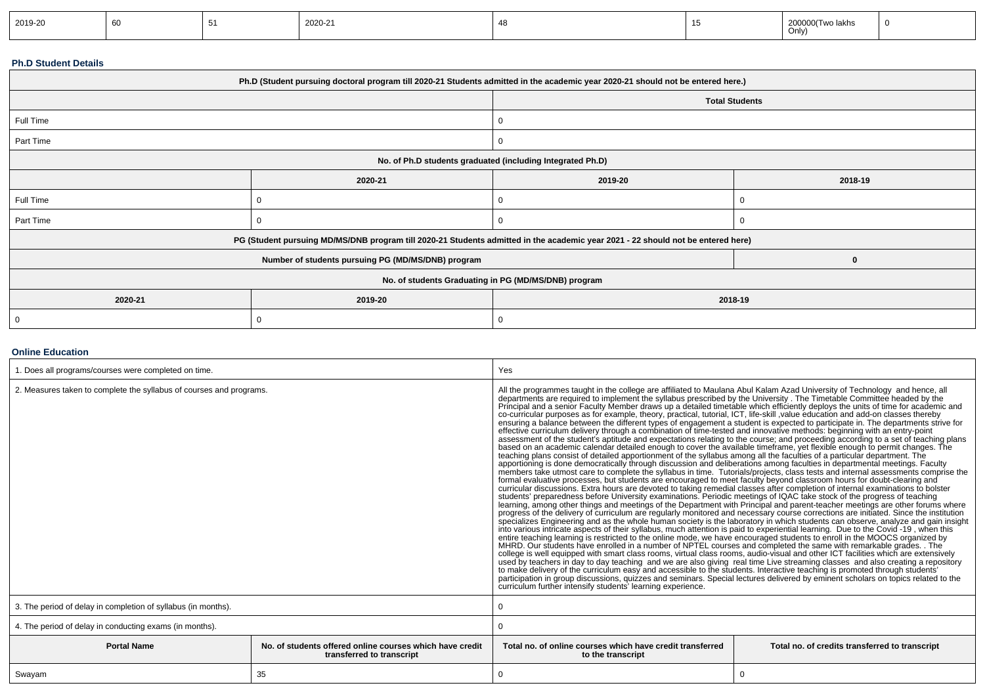| 2019-20 | ັບປ |  | 2020-21 |  |  | 200000(Two lakhs<br>$\sim$ $\sim$ $\sim$ $\sim$ $\sim$ $\sim$<br>Only) | - 0 |
|---------|-----|--|---------|--|--|------------------------------------------------------------------------|-----|
|---------|-----|--|---------|--|--|------------------------------------------------------------------------|-----|

### **Ph.D Student Details**

| Ph.D (Student pursuing doctoral program till 2020-21 Students admitted in the academic year 2020-21 should not be entered here.) |                                                                                                                                  |                       |          |  |  |  |
|----------------------------------------------------------------------------------------------------------------------------------|----------------------------------------------------------------------------------------------------------------------------------|-----------------------|----------|--|--|--|
|                                                                                                                                  |                                                                                                                                  | <b>Total Students</b> |          |  |  |  |
| Full Time                                                                                                                        |                                                                                                                                  |                       |          |  |  |  |
| Part Time                                                                                                                        |                                                                                                                                  |                       |          |  |  |  |
|                                                                                                                                  | No. of Ph.D students graduated (including Integrated Ph.D)                                                                       |                       |          |  |  |  |
|                                                                                                                                  | 2020-21                                                                                                                          | 2019-20<br>2018-19    |          |  |  |  |
| Full Time                                                                                                                        |                                                                                                                                  |                       |          |  |  |  |
| Part Time                                                                                                                        |                                                                                                                                  |                       | $\Omega$ |  |  |  |
|                                                                                                                                  | PG (Student pursuing MD/MS/DNB program till 2020-21 Students admitted in the academic year 2021 - 22 should not be entered here) |                       |          |  |  |  |
|                                                                                                                                  | Number of students pursuing PG (MD/MS/DNB) program                                                                               |                       | $\bf{0}$ |  |  |  |
| No. of students Graduating in PG (MD/MS/DNB) program                                                                             |                                                                                                                                  |                       |          |  |  |  |
| 2020-21                                                                                                                          | 2019-20                                                                                                                          | 2018-19               |          |  |  |  |
| -0                                                                                                                               | 0                                                                                                                                | O                     |          |  |  |  |

### **Online Education**

| . Does all programs/courses were completed on time.                                                         |    | Yes                                                                                                                                                                                                                                                                                                                                                                                                                                                                                                                                                                                                                                                                                                                                                                                                                                                                                                                                                                                                                                                                                                                                                                                                                                                                                                                                                                                                                                                                                                                                                                                                                                                                                                                                                                                                                                                                                                                                                                                                                                                                                                                                                                                                                                                                                                                                                                                                                                                                                                                                                                                                                                                                                                                                                                                                                                                                                                                                                                                           |                                                                                                                                                                                                                                                                      |  |  |
|-------------------------------------------------------------------------------------------------------------|----|-----------------------------------------------------------------------------------------------------------------------------------------------------------------------------------------------------------------------------------------------------------------------------------------------------------------------------------------------------------------------------------------------------------------------------------------------------------------------------------------------------------------------------------------------------------------------------------------------------------------------------------------------------------------------------------------------------------------------------------------------------------------------------------------------------------------------------------------------------------------------------------------------------------------------------------------------------------------------------------------------------------------------------------------------------------------------------------------------------------------------------------------------------------------------------------------------------------------------------------------------------------------------------------------------------------------------------------------------------------------------------------------------------------------------------------------------------------------------------------------------------------------------------------------------------------------------------------------------------------------------------------------------------------------------------------------------------------------------------------------------------------------------------------------------------------------------------------------------------------------------------------------------------------------------------------------------------------------------------------------------------------------------------------------------------------------------------------------------------------------------------------------------------------------------------------------------------------------------------------------------------------------------------------------------------------------------------------------------------------------------------------------------------------------------------------------------------------------------------------------------------------------------------------------------------------------------------------------------------------------------------------------------------------------------------------------------------------------------------------------------------------------------------------------------------------------------------------------------------------------------------------------------------------------------------------------------------------------------------------------------|----------------------------------------------------------------------------------------------------------------------------------------------------------------------------------------------------------------------------------------------------------------------|--|--|
| 2. Measures taken to complete the syllabus of courses and programs.                                         |    | All the programmes taught in the college are affiliated to Maulana Abul Kalam Azad University of Technology and hence, all<br>departments are required to implement the syllabus prescribed by the University . The Timetable Committee headed by the<br>Principal and a senior Faculty Member draws up a detailed timetable which efficiently deploys the units of time for academic and<br>co-curricular purposes as for example, theory, practical, tutorial, ICT, life-skill ,value education and add-on classes thereby<br>ensuring a balance between the different types of engagement a student is expected to participate in. The departments strive for<br>effective curriculum delivery through a combination of time-tested and innovative methods: beginning with an entry-point<br>assessment of the student's aptitude and expectations relating to the course; and proceeding according to a set of teaching plans<br>based on an academic calendar detailed enough to cover the available timeframe, yet flexible enough to permit changes. The<br>teaching plans consist of detailed apportionment of the syllabus among all the faculties of a particular department. The<br>apportioning is done democratically through discussion and deliberations among faculties in departmental meetings. Faculty<br>formal evaluative processes, but students are encouraged to meet faculty beyond classroom hours for doubt-clearing and<br>curricular discussions. Extra hours are devoted to taking remedial classes after completion of internal examinations to bolster<br>students' preparedness before University examinations. Periodic meetings of IQAC take stock of the progress of teaching<br>learning, among other things and meetings of the Department with Principal and parent-teacher meetings are other forums where<br>progress of the delivery of curriculum are regularly monitored and necessary course corrections are initiated. Since the institution<br>into various intricate aspects of their syllabus, much attention is paid to experiential learning. Due to the Covid -19, when this<br>entire teaching learning is restricted to the online mode, we have encouraged students to enroll in the MOOCS organized by<br>MHRD. Our students have enrolled in a number of NPTEL courses and completed the same with remarkable grades. . The<br>college is well equipped with smart class rooms, virtual class rooms, audio-visual and other ICT facilities which are extensively<br>used by teachers in day to day teaching and we are also giving real time Live streaming classes and also creating a repository<br>to make delivery of the curriculum easy and accessible to the students. Interactive teaching is promoted through students'<br>participation in group discussions, quizzes and seminars. Special lectures delivered by eminent scholars on topics related to the<br>curriculum further intensify students' learning experience. | members take utmost care to complete the syllabus in time. Tutorials/projects, class tests and internal assessments comprise the<br>specializes Engineering and as the whole human society is the laboratory in which students can observe, analyze and gain insight |  |  |
| 3. The period of delay in completion of syllabus (in months).                                               |    |                                                                                                                                                                                                                                                                                                                                                                                                                                                                                                                                                                                                                                                                                                                                                                                                                                                                                                                                                                                                                                                                                                                                                                                                                                                                                                                                                                                                                                                                                                                                                                                                                                                                                                                                                                                                                                                                                                                                                                                                                                                                                                                                                                                                                                                                                                                                                                                                                                                                                                                                                                                                                                                                                                                                                                                                                                                                                                                                                                                               |                                                                                                                                                                                                                                                                      |  |  |
| 4. The period of delay in conducting exams (in months).                                                     |    |                                                                                                                                                                                                                                                                                                                                                                                                                                                                                                                                                                                                                                                                                                                                                                                                                                                                                                                                                                                                                                                                                                                                                                                                                                                                                                                                                                                                                                                                                                                                                                                                                                                                                                                                                                                                                                                                                                                                                                                                                                                                                                                                                                                                                                                                                                                                                                                                                                                                                                                                                                                                                                                                                                                                                                                                                                                                                                                                                                                               |                                                                                                                                                                                                                                                                      |  |  |
| <b>Portal Name</b><br>No. of students offered online courses which have credit<br>transferred to transcript |    | Total no, of online courses which have credit transferred<br>to the transcript                                                                                                                                                                                                                                                                                                                                                                                                                                                                                                                                                                                                                                                                                                                                                                                                                                                                                                                                                                                                                                                                                                                                                                                                                                                                                                                                                                                                                                                                                                                                                                                                                                                                                                                                                                                                                                                                                                                                                                                                                                                                                                                                                                                                                                                                                                                                                                                                                                                                                                                                                                                                                                                                                                                                                                                                                                                                                                                | Total no. of credits transferred to transcript                                                                                                                                                                                                                       |  |  |
| Swayam                                                                                                      | 35 |                                                                                                                                                                                                                                                                                                                                                                                                                                                                                                                                                                                                                                                                                                                                                                                                                                                                                                                                                                                                                                                                                                                                                                                                                                                                                                                                                                                                                                                                                                                                                                                                                                                                                                                                                                                                                                                                                                                                                                                                                                                                                                                                                                                                                                                                                                                                                                                                                                                                                                                                                                                                                                                                                                                                                                                                                                                                                                                                                                                               | $\Omega$                                                                                                                                                                                                                                                             |  |  |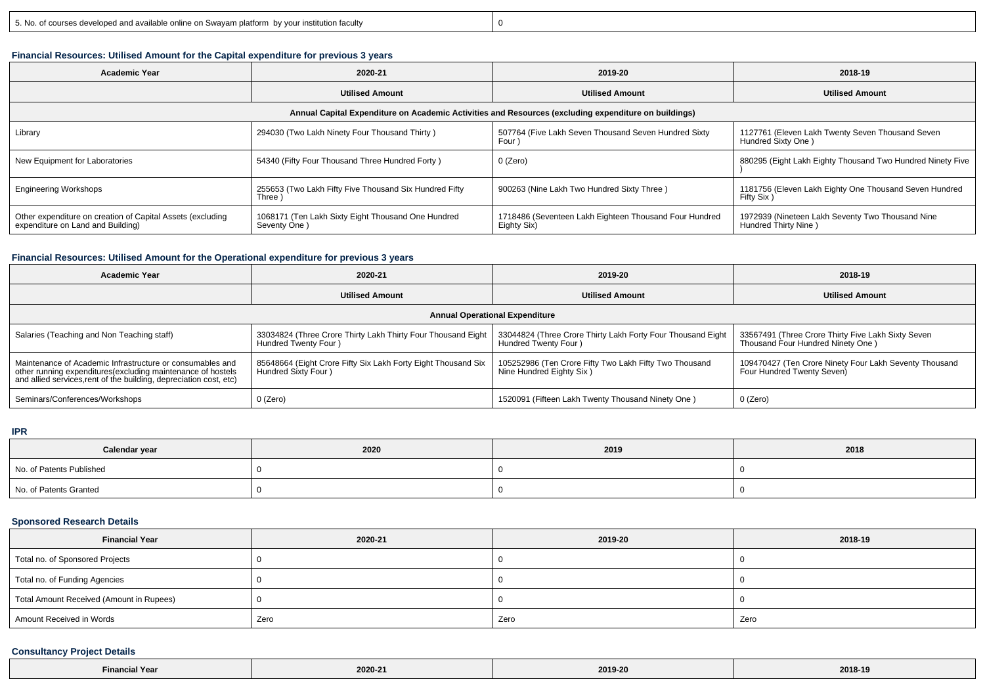y 0

# **Financial Resources: Utilised Amount for the Capital expenditure for previous 3 years**

| Academic Year                                                                                        | 2020-21                                                            | 2019-20                                                               | 2018-19                                                                  |  |  |  |  |
|------------------------------------------------------------------------------------------------------|--------------------------------------------------------------------|-----------------------------------------------------------------------|--------------------------------------------------------------------------|--|--|--|--|
|                                                                                                      | <b>Utilised Amount</b>                                             | <b>Utilised Amount</b>                                                | <b>Utilised Amount</b>                                                   |  |  |  |  |
| Annual Capital Expenditure on Academic Activities and Resources (excluding expenditure on buildings) |                                                                    |                                                                       |                                                                          |  |  |  |  |
| Library                                                                                              | 294030 (Two Lakh Ninety Four Thousand Thirty)                      | 507764 (Five Lakh Seven Thousand Seven Hundred Sixty<br>Four          | 1127761 (Eleven Lakh Twenty Seven Thousand Seven<br>Hundred Sixty One)   |  |  |  |  |
| New Equipment for Laboratories                                                                       | 54340 (Fifty Four Thousand Three Hundred Forty)                    | 0 (Zero)                                                              | 880295 (Eight Lakh Eighty Thousand Two Hundred Ninety Five               |  |  |  |  |
| <b>Engineering Workshops</b>                                                                         | 255653 (Two Lakh Fifty Five Thousand Six Hundred Fifty<br>Three )  | 900263 (Nine Lakh Two Hundred Sixty Three)                            | 1181756 (Eleven Lakh Eighty One Thousand Seven Hundred<br>Fifty Six)     |  |  |  |  |
| Other expenditure on creation of Capital Assets (excluding<br>expenditure on Land and Building)      | 1068171 (Ten Lakh Sixty Eight Thousand One Hundred<br>Seventy One) | 1718486 (Seventeen Lakh Eighteen Thousand Four Hundred<br>Eighty Six) | 1972939 (Nineteen Lakh Seventy Two Thousand Nine<br>Hundred Thirty Nine) |  |  |  |  |

#### **Financial Resources: Utilised Amount for the Operational expenditure for previous 3 years**

| <b>Academic Year</b>                                                                                                                                                                            | 2020-21                                                                              | 2019-20                                                                             | 2018-19                                                                                 |  |  |  |  |
|-------------------------------------------------------------------------------------------------------------------------------------------------------------------------------------------------|--------------------------------------------------------------------------------------|-------------------------------------------------------------------------------------|-----------------------------------------------------------------------------------------|--|--|--|--|
|                                                                                                                                                                                                 | <b>Utilised Amount</b>                                                               | <b>Utilised Amount</b>                                                              | <b>Utilised Amount</b>                                                                  |  |  |  |  |
| <b>Annual Operational Expenditure</b>                                                                                                                                                           |                                                                                      |                                                                                     |                                                                                         |  |  |  |  |
| Salaries (Teaching and Non Teaching staff)                                                                                                                                                      | 33034824 (Three Crore Thirty Lakh Thirty Four Thousand Eight<br>Hundred Twenty Four) | 33044824 (Three Crore Thirty Lakh Forty Four Thousand Eight<br>Hundred Twenty Four) | 33567491 (Three Crore Thirty Five Lakh Sixty Seven<br>Thousand Four Hundred Ninety One) |  |  |  |  |
| Maintenance of Academic Infrastructure or consumables and<br>other running expenditures (excluding maintenance of hostels<br>and allied services, rent of the building, depreciation cost, etc) | 85648664 (Eight Crore Fifty Six Lakh Forty Eight Thousand Six<br>Hundred Sixty Four) | 105252986 (Ten Crore Fifty Two Lakh Fifty Two Thousand<br>Nine Hundred Eighty Six)  | 109470427 (Ten Crore Ninety Four Lakh Seventy Thousand<br>Four Hundred Twenty Seven)    |  |  |  |  |
| Seminars/Conferences/Workshops                                                                                                                                                                  | 0 (Zero)                                                                             | 1520091 (Fifteen Lakh Twenty Thousand Ninety One)                                   | 0 (Zero)                                                                                |  |  |  |  |

### **IPR**

| Calendar year            | 2020 | 2019 | 2018 |
|--------------------------|------|------|------|
| No. of Patents Published |      |      |      |
| No. of Patents Granted   |      |      |      |

## **Sponsored Research Details**

| <b>Financial Year</b>                    | 2020-21 | 2019-20 | 2018-19 |
|------------------------------------------|---------|---------|---------|
| Total no. of Sponsored Projects          |         |         |         |
| Total no. of Funding Agencies            |         |         |         |
| Total Amount Received (Amount in Rupees) |         |         |         |
| Amount Received in Words                 | Zero    | Zero    | Zero    |

### **Consultancy Project Details**

| .re | 2020-21 | 2019-20 | 2018-19 |
|-----|---------|---------|---------|
|-----|---------|---------|---------|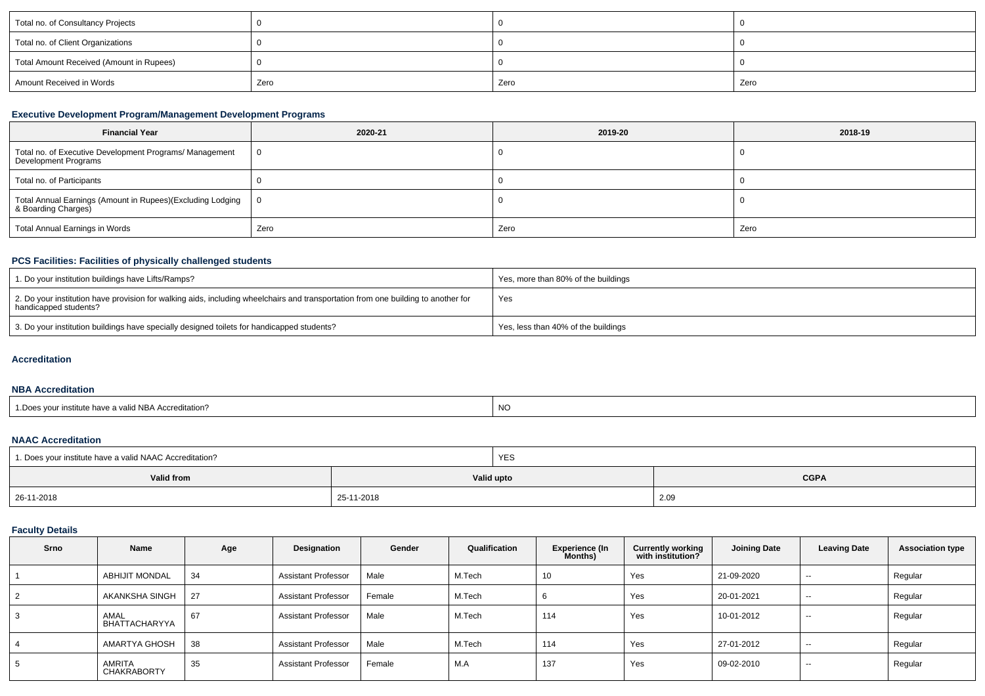| Total no. of Consultancy Projects        |      |      |      |
|------------------------------------------|------|------|------|
| Total no. of Client Organizations        |      |      |      |
| Total Amount Received (Amount in Rupees) |      |      |      |
| Amount Received in Words                 | Zero | Zero | Zero |

## **Executive Development Program/Management Development Programs**

| <b>Financial Year</b>                                                              | 2020-21 | 2019-20 | 2018-19 |
|------------------------------------------------------------------------------------|---------|---------|---------|
| Total no. of Executive Development Programs/ Management<br>Development Programs    |         |         |         |
| Total no. of Participants                                                          |         |         |         |
| Total Annual Earnings (Amount in Rupees)(Excluding Lodging  <br>& Boarding Charges |         |         |         |
| Total Annual Earnings in Words                                                     | Zero    | Zero    | Zero    |

## **PCS Facilities: Facilities of physically challenged students**

| 1. Do your institution buildings have Lifts/Ramps?                                                                                                         | Yes, more than 80% of the buildings |
|------------------------------------------------------------------------------------------------------------------------------------------------------------|-------------------------------------|
| 2. Do your institution have provision for walking aids, including wheelchairs and transportation from one building to another for<br>handicapped students? | Yes                                 |
| 3. Do your institution buildings have specially designed toilets for handicapped students?                                                                 | Yes, less than 40% of the buildings |

## **Accreditation**

#### **NBA Accreditation**

| 1. Does your institute have a valid NBA Accreditation? | <b>NC</b> |
|--------------------------------------------------------|-----------|
|--------------------------------------------------------|-----------|

# **NAAC Accreditation**

| 1. Does your institute have a valid NAAC Accreditation? |            | <b>YES</b> |             |
|---------------------------------------------------------|------------|------------|-------------|
| <b>Valid from</b>                                       | Valid upto |            | <b>CGPA</b> |
| 26-11-2018                                              | 25-11-2018 |            | 2.09        |

## **Faculty Details**

| Srno           | Name                         | Age | Designation                | Gender | Qualification | <b>Experience (In</b><br>Months) | <b>Currently working</b><br>with institution? | <b>Joining Date</b> | <b>Leaving Date</b> | <b>Association type</b> |
|----------------|------------------------------|-----|----------------------------|--------|---------------|----------------------------------|-----------------------------------------------|---------------------|---------------------|-------------------------|
|                | <b>ABHIJIT MONDAL</b>        | 34  | <b>Assistant Professor</b> | Male   | M.Tech        | 10                               | Yes                                           | 21-09-2020          | $- -$               | Regular                 |
| $\overline{2}$ | AKANKSHA SINGH               | 27  | <b>Assistant Professor</b> | Female | M.Tech        |                                  | Yes                                           | 20-01-2021          | $- -$               | Regular                 |
| 3              | AMAL<br>BHATTACHARYYA        | 67  | <b>Assistant Professor</b> | Male   | M.Tech        | 114                              | Yes                                           | 10-01-2012          | $- -$               | Regular                 |
| 4              | AMARTYA GHOSH                | 38  | <b>Assistant Professor</b> | Male   | M.Tech        | 114                              | Yes                                           | 27-01-2012          | $- -$               | Regular                 |
| 5              | AMRITA<br><b>CHAKRABORTY</b> | 35  | <b>Assistant Professor</b> | Female | M.A           | 137                              | Yes                                           | 09-02-2010          | $- -$               | Regular                 |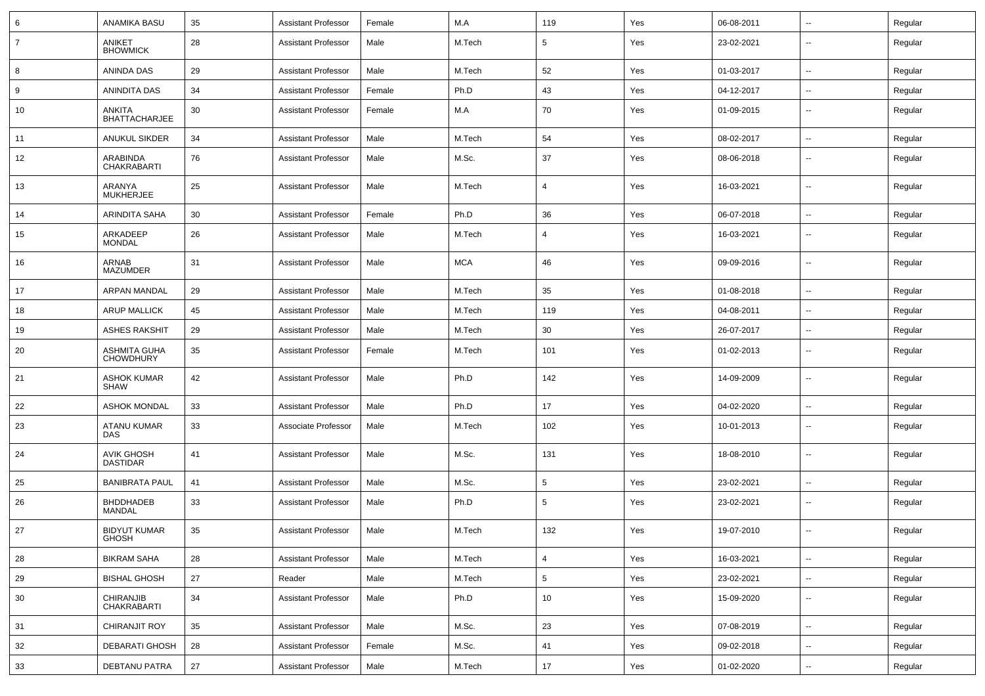| 6              | <b>ANAMIKA BASU</b>                     | 35 | <b>Assistant Professor</b> | Female | M.A        | 119             | Yes | 06-08-2011 | $\overline{\phantom{a}}$ | Regular |
|----------------|-----------------------------------------|----|----------------------------|--------|------------|-----------------|-----|------------|--------------------------|---------|
| $\overline{7}$ | ANIKET<br><b>BHOWMICK</b>               | 28 | <b>Assistant Professor</b> | Male   | M.Tech     | 5               | Yes | 23-02-2021 | $\overline{\phantom{a}}$ | Regular |
| 8              | ANINDA DAS                              | 29 | <b>Assistant Professor</b> | Male   | M.Tech     | 52              | Yes | 01-03-2017 | н.                       | Regular |
| 9              | ANINDITA DAS                            | 34 | <b>Assistant Professor</b> | Female | Ph.D       | 43              | Yes | 04-12-2017 | $\overline{\phantom{a}}$ | Regular |
| 10             | ANKITA<br><b>BHATTACHARJEE</b>          | 30 | <b>Assistant Professor</b> | Female | M.A        | 70              | Yes | 01-09-2015 | --                       | Regular |
| 11             | <b>ANUKUL SIKDER</b>                    | 34 | <b>Assistant Professor</b> | Male   | M.Tech     | 54              | Yes | 08-02-2017 | --                       | Regular |
| 12             | ARABINDA<br>CHAKRABARTI                 | 76 | <b>Assistant Professor</b> | Male   | M.Sc.      | 37              | Yes | 08-06-2018 | --                       | Regular |
| 13             | ARANYA<br><b>MUKHERJEE</b>              | 25 | <b>Assistant Professor</b> | Male   | M.Tech     | 4               | Yes | 16-03-2021 | -−                       | Regular |
| 14             | ARINDITA SAHA                           | 30 | <b>Assistant Professor</b> | Female | Ph.D       | 36              | Yes | 06-07-2018 | --                       | Regular |
| 15             | ARKADEEP<br><b>MONDAL</b>               | 26 | <b>Assistant Professor</b> | Male   | M.Tech     | 4               | Yes | 16-03-2021 | $\overline{\phantom{a}}$ | Regular |
| 16             | ARNAB<br>MAZUMDER                       | 31 | <b>Assistant Professor</b> | Male   | <b>MCA</b> | 46              | Yes | 09-09-2016 | $\overline{\phantom{a}}$ | Regular |
| 17             | ARPAN MANDAL                            | 29 | <b>Assistant Professor</b> | Male   | M.Tech     | 35              | Yes | 01-08-2018 | ⊷.                       | Regular |
| 18             | <b>ARUP MALLICK</b>                     | 45 | <b>Assistant Professor</b> | Male   | M.Tech     | 119             | Yes | 04-08-2011 | $\overline{\phantom{a}}$ | Regular |
| 19             | <b>ASHES RAKSHIT</b>                    | 29 | <b>Assistant Professor</b> | Male   | M.Tech     | 30              | Yes | 26-07-2017 | ⊷.                       | Regular |
| 20             | <b>ASHMITA GUHA</b><br><b>CHOWDHURY</b> | 35 | <b>Assistant Professor</b> | Female | M.Tech     | 101             | Yes | 01-02-2013 | --                       | Regular |
| 21             | <b>ASHOK KUMAR</b><br><b>SHAW</b>       | 42 | <b>Assistant Professor</b> | Male   | Ph.D       | 142             | Yes | 14-09-2009 | --                       | Regular |
| 22             | <b>ASHOK MONDAL</b>                     | 33 | <b>Assistant Professor</b> | Male   | Ph.D       | 17              | Yes | 04-02-2020 | $\overline{\phantom{a}}$ | Regular |
| 23             | ATANU KUMAR<br>DAS                      | 33 | Associate Professor        | Male   | M.Tech     | 102             | Yes | 10-01-2013 | --                       | Regular |
| 24             | <b>AVIK GHOSH</b><br><b>DASTIDAR</b>    | 41 | <b>Assistant Professor</b> | Male   | M.Sc.      | 131             | Yes | 18-08-2010 | --                       | Regular |
| 25             | <b>BANIBRATA PAUL</b>                   | 41 | <b>Assistant Professor</b> | Male   | M.Sc.      | 5               | Yes | 23-02-2021 | --                       | Regular |
| 26             | <b>BHDDHADEB</b><br>MANDAL              | 33 | <b>Assistant Professor</b> | Male   | Ph.D       | 5               | Yes | 23-02-2021 | --                       | Regular |
| 27             | <b>BIDYUT KUMAR</b><br><b>GHOSH</b>     | 35 | <b>Assistant Professor</b> | Male   | M.Tech     | 132             | Yes | 19-07-2010 | -−                       | Regular |
| 28             | <b>BIKRAM SAHA</b>                      | 28 | <b>Assistant Professor</b> | Male   | M.Tech     | $\overline{4}$  | Yes | 16-03-2021 | н.                       | Regular |
| 29             | <b>BISHAL GHOSH</b>                     | 27 | Reader                     | Male   | M.Tech     | $5\phantom{.0}$ | Yes | 23-02-2021 | $\overline{\phantom{a}}$ | Regular |
| 30             | CHIRANJIB<br><b>CHAKRABARTI</b>         | 34 | <b>Assistant Professor</b> | Male   | Ph.D       | 10              | Yes | 15-09-2020 | $\overline{\phantom{a}}$ | Regular |
| 31             | <b>CHIRANJIT ROY</b>                    | 35 | <b>Assistant Professor</b> | Male   | M.Sc.      | 23              | Yes | 07-08-2019 | ш.                       | Regular |
| 32             | <b>DEBARATI GHOSH</b>                   | 28 | <b>Assistant Professor</b> | Female | M.Sc.      | 41              | Yes | 09-02-2018 | ⊶.                       | Regular |
| 33             | DEBTANU PATRA                           | 27 | <b>Assistant Professor</b> | Male   | M.Tech     | 17              | Yes | 01-02-2020 | ⊶.                       | Regular |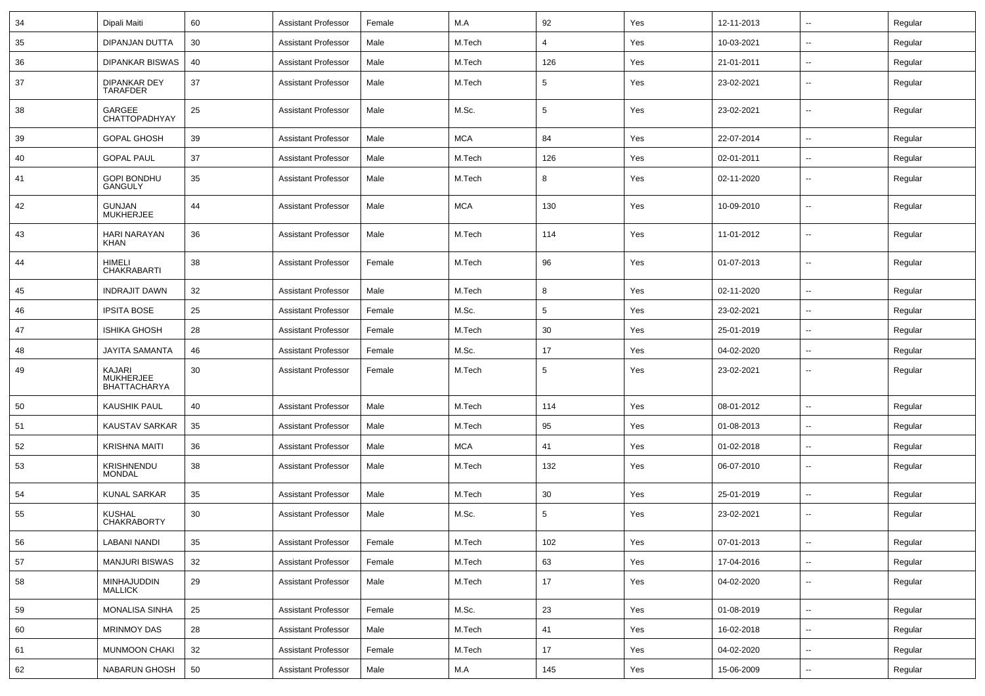| 34 | Dipali Maiti                               | 60 | <b>Assistant Professor</b> | Female | M.A        | 92              | Yes | 12-11-2013 | $\mathbf{u}$             | Regular |
|----|--------------------------------------------|----|----------------------------|--------|------------|-----------------|-----|------------|--------------------------|---------|
| 35 | DIPANJAN DUTTA                             | 30 | <b>Assistant Professor</b> | Male   | M.Tech     | $\overline{4}$  | Yes | 10-03-2021 | $\sim$                   | Regular |
| 36 | DIPANKAR BISWAS                            | 40 | <b>Assistant Professor</b> | Male   | M.Tech     | 126             | Yes | 21-01-2011 |                          | Regular |
| 37 | DIPANKAR DEY<br><b>TARAFDER</b>            | 37 | <b>Assistant Professor</b> | Male   | M.Tech     | 5               | Yes | 23-02-2021 | $\overline{a}$           | Regular |
| 38 | GARGEE<br>CHATTOPADHYAY                    | 25 | <b>Assistant Professor</b> | Male   | M.Sc.      | 5               | Yes | 23-02-2021 | $\mathbf{u}$             | Regular |
| 39 | <b>GOPAL GHOSH</b>                         | 39 | <b>Assistant Professor</b> | Male   | <b>MCA</b> | 84              | Yes | 22-07-2014 | $\overline{a}$           | Regular |
| 40 | <b>GOPAL PAUL</b>                          | 37 | <b>Assistant Professor</b> | Male   | M.Tech     | 126             | Yes | 02-01-2011 | $\overline{\phantom{a}}$ | Regular |
| 41 | <b>GOPI BONDHU</b><br><b>GANGULY</b>       | 35 | <b>Assistant Professor</b> | Male   | M.Tech     | 8               | Yes | 02-11-2020 | --                       | Regular |
| 42 | <b>GUNJAN</b><br><b>MUKHERJEE</b>          | 44 | <b>Assistant Professor</b> | Male   | <b>MCA</b> | 130             | Yes | 10-09-2010 | --                       | Regular |
| 43 | <b>HARI NARAYAN</b><br><b>KHAN</b>         | 36 | <b>Assistant Professor</b> | Male   | M.Tech     | 114             | Yes | 11-01-2012 | --                       | Regular |
| 44 | HIMELI<br><b>CHAKRABARTI</b>               | 38 | <b>Assistant Professor</b> | Female | M.Tech     | 96              | Yes | 01-07-2013 | --                       | Regular |
| 45 | <b>INDRAJIT DAWN</b>                       | 32 | <b>Assistant Professor</b> | Male   | M.Tech     | 8               | Yes | 02-11-2020 |                          | Regular |
| 46 | <b>IPSITA BOSE</b>                         | 25 | <b>Assistant Professor</b> | Female | M.Sc.      | $5\phantom{.0}$ | Yes | 23-02-2021 | $\overline{a}$           | Regular |
| 47 | <b>ISHIKA GHOSH</b>                        | 28 | Assistant Professor        | Female | M.Tech     | 30              | Yes | 25-01-2019 | $\sim$                   | Regular |
| 48 | <b>JAYITA SAMANTA</b>                      | 46 | <b>Assistant Professor</b> | Female | M.Sc.      | 17              | Yes | 04-02-2020 | --                       | Regular |
| 49 | KAJARI<br>MUKHERJEE<br><b>BHATTACHARYA</b> | 30 | Assistant Professor        | Female | M.Tech     | 5               | Yes | 23-02-2021 | --                       | Regular |
| 50 | <b>KAUSHIK PAUL</b>                        | 40 | <b>Assistant Professor</b> | Male   | M.Tech     | 114             | Yes | 08-01-2012 | --                       | Regular |
| 51 | KAUSTAV SARKAR                             | 35 | <b>Assistant Professor</b> | Male   | M.Tech     | 95              | Yes | 01-08-2013 | $\overline{\phantom{a}}$ | Regular |
| 52 | <b>KRISHNA MAITI</b>                       | 36 | <b>Assistant Professor</b> | Male   | <b>MCA</b> | 41              | Yes | 01-02-2018 | $\overline{\phantom{a}}$ | Regular |
| 53 | <b>KRISHNENDU</b><br><b>MONDAL</b>         | 38 | <b>Assistant Professor</b> | Male   | M.Tech     | 132             | Yes | 06-07-2010 | --                       | Regular |
| 54 | <b>KUNAL SARKAR</b>                        | 35 | <b>Assistant Professor</b> | Male   | M.Tech     | 30              | Yes | 25-01-2019 | $\overline{\phantom{a}}$ | Regular |
| 55 | <b>KUSHAL</b><br><b>CHAKRABORTY</b>        | 30 | <b>Assistant Professor</b> | Male   | M.Sc.      | $5\phantom{.0}$ | Yes | 23-02-2021 | $\mathbf{u}$             | Regular |
| 56 | LABANI NANDI                               | 35 | Assistant Professor        | Female | M.Tech     | 102             | Yes | 07-01-2013 | $\overline{\phantom{a}}$ | Regular |
| 57 | <b>MANJURI BISWAS</b>                      | 32 | <b>Assistant Professor</b> | Female | M.Tech     | 63              | Yes | 17-04-2016 | $\sim$                   | Regular |
| 58 | MINHAJUDDIN<br>MALLICK                     | 29 | <b>Assistant Professor</b> | Male   | M.Tech     | 17              | Yes | 04-02-2020 | $\overline{\phantom{a}}$ | Regular |
| 59 | <b>MONALISA SINHA</b>                      | 25 | <b>Assistant Professor</b> | Female | M.Sc.      | 23              | Yes | 01-08-2019 | $\sim$                   | Regular |
| 60 | <b>MRINMOY DAS</b>                         | 28 | <b>Assistant Professor</b> | Male   | M.Tech     | 41              | Yes | 16-02-2018 | $\sim$                   | Regular |
| 61 | <b>MUNMOON CHAKI</b>                       | 32 | <b>Assistant Professor</b> | Female | M.Tech     | 17              | Yes | 04-02-2020 | $\overline{\phantom{a}}$ | Regular |
| 62 | NABARUN GHOSH                              | 50 | <b>Assistant Professor</b> | Male   | M.A        | 145             | Yes | 15-06-2009 | $\overline{\phantom{a}}$ | Regular |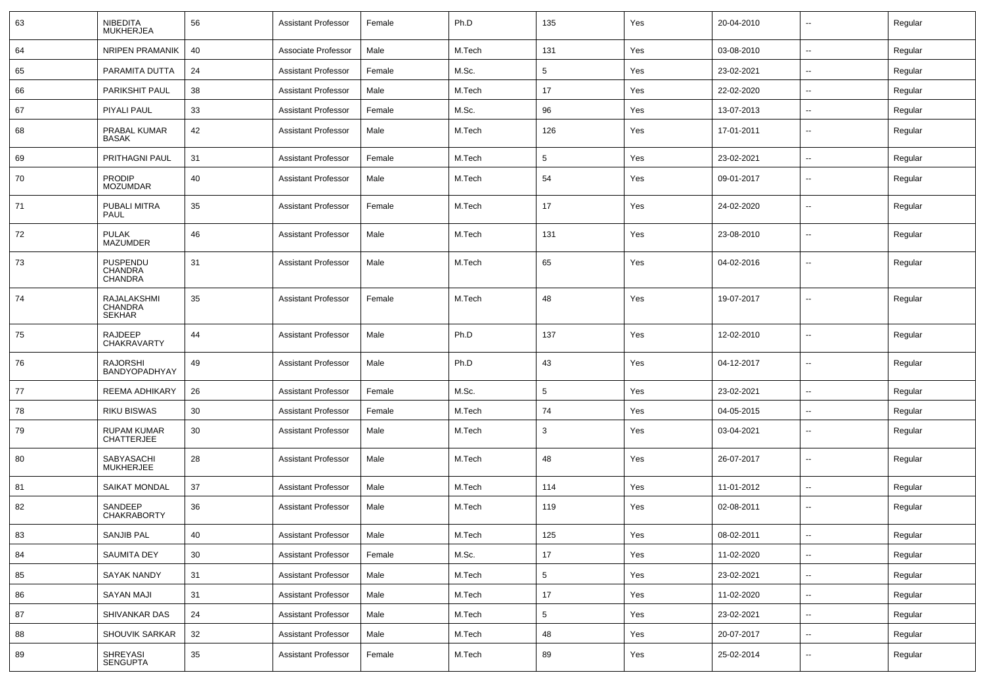| 63 | <b>NIBEDITA</b><br><b>MUKHERJEA</b>                   | 56 | <b>Assistant Professor</b> | Female | Ph.D   | 135             | Yes | 20-04-2010 | $\overline{\phantom{a}}$ | Regular |
|----|-------------------------------------------------------|----|----------------------------|--------|--------|-----------------|-----|------------|--------------------------|---------|
| 64 | <b>NRIPEN PRAMANIK</b>                                | 40 | Associate Professor        | Male   | M.Tech | 131             | Yes | 03-08-2010 | $\sim$                   | Regular |
| 65 | PARAMITA DUTTA                                        | 24 | <b>Assistant Professor</b> | Female | M.Sc.  | $5\phantom{.0}$ | Yes | 23-02-2021 | --                       | Regular |
| 66 | PARIKSHIT PAUL                                        | 38 | <b>Assistant Professor</b> | Male   | M.Tech | 17              | Yes | 22-02-2020 | $\overline{\phantom{a}}$ | Regular |
| 67 | <b>PIYALI PAUL</b>                                    | 33 | <b>Assistant Professor</b> | Female | M.Sc.  | 96              | Yes | 13-07-2013 | --                       | Regular |
| 68 | PRABAL KUMAR<br><b>BASAK</b>                          | 42 | <b>Assistant Professor</b> | Male   | M.Tech | 126             | Yes | 17-01-2011 | --                       | Regular |
| 69 | <b>PRITHAGNI PAUL</b>                                 | 31 | <b>Assistant Professor</b> | Female | M.Tech | 5               | Yes | 23-02-2021 | --                       | Regular |
| 70 | <b>PRODIP</b><br><b>MOZUMDAR</b>                      | 40 | <b>Assistant Professor</b> | Male   | M.Tech | 54              | Yes | 09-01-2017 | $\sim$                   | Regular |
| 71 | PUBALI MITRA<br>PAUL                                  | 35 | <b>Assistant Professor</b> | Female | M.Tech | 17              | Yes | 24-02-2020 | $\overline{\phantom{a}}$ | Regular |
| 72 | <b>PULAK</b><br><b>MAZUMDER</b>                       | 46 | <b>Assistant Professor</b> | Male   | M.Tech | 131             | Yes | 23-08-2010 | $\sim$                   | Regular |
| 73 | PUSPENDU<br><b>CHANDRA</b><br><b>CHANDRA</b>          | 31 | <b>Assistant Professor</b> | Male   | M.Tech | 65              | Yes | 04-02-2016 | $\overline{\phantom{a}}$ | Regular |
| 74 | <b>RAJALAKSHMI</b><br><b>CHANDRA</b><br><b>SEKHAR</b> | 35 | <b>Assistant Professor</b> | Female | M.Tech | 48              | Yes | 19-07-2017 | --                       | Regular |
| 75 | <b>RAJDEEP</b><br>CHAKRAVARTY                         | 44 | <b>Assistant Professor</b> | Male   | Ph.D   | 137             | Yes | 12-02-2010 | --                       | Regular |
| 76 | <b>RAJORSHI</b><br><b>BANDYOPADHYAY</b>               | 49 | <b>Assistant Professor</b> | Male   | Ph.D   | 43              | Yes | 04-12-2017 | --                       | Regular |
| 77 | <b>REEMA ADHIKARY</b>                                 | 26 | <b>Assistant Professor</b> | Female | M.Sc.  | 5               | Yes | 23-02-2021 | --                       | Regular |
| 78 | <b>RIKU BISWAS</b>                                    | 30 | <b>Assistant Professor</b> | Female | M.Tech | 74              | Yes | 04-05-2015 | --                       | Regular |
| 79 | <b>RUPAM KUMAR</b><br><b>CHATTERJEE</b>               | 30 | <b>Assistant Professor</b> | Male   | M.Tech | 3               | Yes | 03-04-2021 | $\sim$                   | Regular |
| 80 | SABYASACHI<br><b>MUKHERJEE</b>                        | 28 | <b>Assistant Professor</b> | Male   | M.Tech | 48              | Yes | 26-07-2017 | $\overline{\phantom{a}}$ | Regular |
| 81 | <b>SAIKAT MONDAL</b>                                  | 37 | <b>Assistant Professor</b> | Male   | M.Tech | 114             | Yes | 11-01-2012 | $\sim$                   | Regular |
| 82 | SANDEEP<br><b>CHAKRABORTY</b>                         | 36 | <b>Assistant Professor</b> | Male   | M.Tech | 119             | Yes | 02-08-2011 | $\overline{\phantom{a}}$ | Regular |
| 83 | SANJIB PAL                                            | 40 | Assistant Professor        | Male   | M.Tech | 125             | Yes | 08-02-2011 | $\overline{\phantom{a}}$ | Regular |
| 84 | SAUMITA DEY                                           | 30 | <b>Assistant Professor</b> | Female | M.Sc.  | 17              | Yes | 11-02-2020 | $\sim$                   | Regular |
| 85 | SAYAK NANDY                                           | 31 | <b>Assistant Professor</b> | Male   | M.Tech | $5\phantom{.0}$ | Yes | 23-02-2021 | --                       | Regular |
| 86 | <b>SAYAN MAJI</b>                                     | 31 | <b>Assistant Professor</b> | Male   | M.Tech | 17              | Yes | 11-02-2020 | $\sim$                   | Regular |
| 87 | SHIVANKAR DAS                                         | 24 | <b>Assistant Professor</b> | Male   | M.Tech | 5               | Yes | 23-02-2021 | $\sim$                   | Regular |
| 88 | SHOUVIK SARKAR                                        | 32 | <b>Assistant Professor</b> | Male   | M.Tech | 48              | Yes | 20-07-2017 | $\sim$                   | Regular |
| 89 | SHREYASI<br>SENGUPTA                                  | 35 | <b>Assistant Professor</b> | Female | M.Tech | 89              | Yes | 25-02-2014 | $\overline{\phantom{a}}$ | Regular |